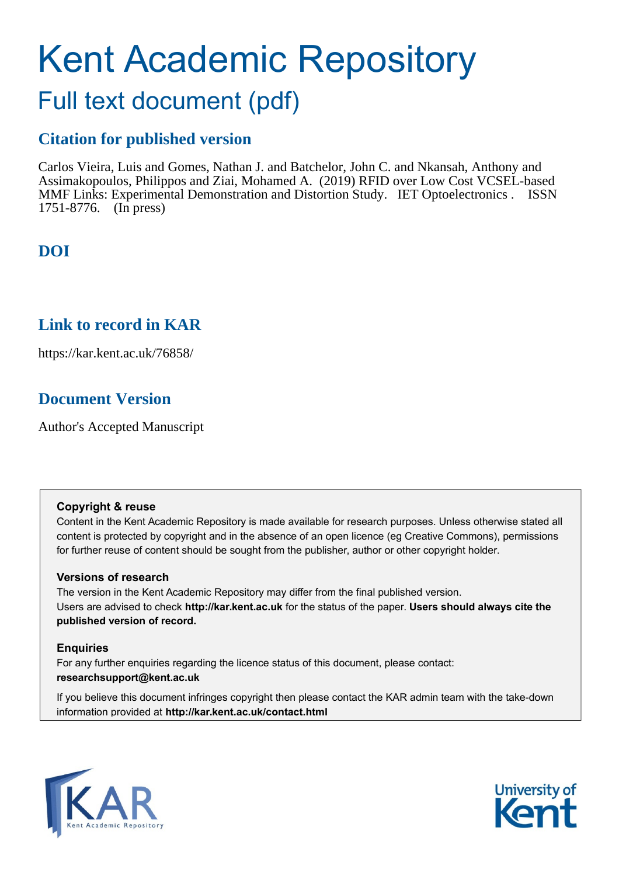# Kent Academic Repository

## Full text document (pdf)

## **Citation for published version**

Carlos Vieira, Luis and Gomes, Nathan J. and Batchelor, John C. and Nkansah, Anthony and Assimakopoulos, Philippos and Ziai, Mohamed A. (2019) RFID over Low Cost VCSEL-based MMF Links: Experimental Demonstration and Distortion Study. IET Optoelectronics . ISSN 1751-8776. (In press)

## **DOI**

## **Link to record in KAR**

https://kar.kent.ac.uk/76858/

## **Document Version**

Author's Accepted Manuscript

#### **Copyright & reuse**

Content in the Kent Academic Repository is made available for research purposes. Unless otherwise stated all content is protected by copyright and in the absence of an open licence (eg Creative Commons), permissions for further reuse of content should be sought from the publisher, author or other copyright holder.

#### **Versions of research**

The version in the Kent Academic Repository may differ from the final published version. Users are advised to check **http://kar.kent.ac.uk** for the status of the paper. **Users should always cite the published version of record.**

#### **Enquiries**

For any further enquiries regarding the licence status of this document, please contact: **researchsupport@kent.ac.uk**

If you believe this document infringes copyright then please contact the KAR admin team with the take-down information provided at **http://kar.kent.ac.uk/contact.html**



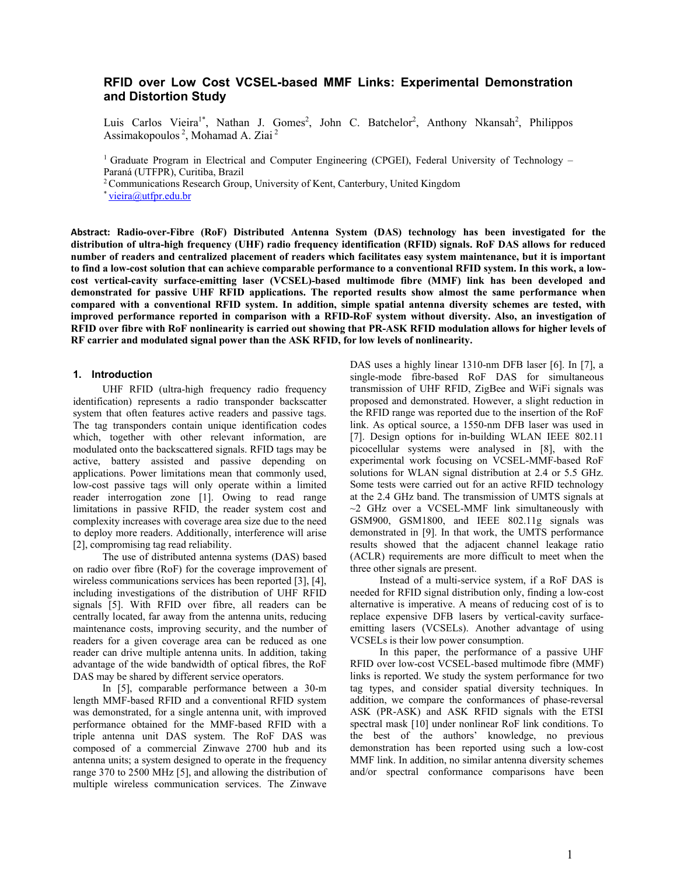#### **RFID over Low Cost VCSEL-based MMF Links: Experimental Demonstration and Distortion Study**

Luis Carlos Vieira<sup>1\*</sup>, Nathan J. Gomes<sup>2</sup>, John C. Batchelor<sup>2</sup>, Anthony Nkansah<sup>2</sup>, Philippos Assimakopoulos 2, Mohamad A. Ziai 2

<sup>1</sup> Graduate Program in Electrical and Computer Engineering (CPGEI), Federal University of Technology – Paraná (UTFPR), Curitiba, Brazil

<sup>2</sup> Communications Research Group, University of Kent, Canterbury, United Kingdom \* vieira@utfpr.edu.br

**Abstract: Radio-over-Fibre (RoF) Distributed Antenna System (DAS) technology has been investigated for the distribution of ultra-high frequency (UHF) radio frequency identification (RFID) signals. RoF DAS allows for reduced number of readers and centralized placement of readers which facilitates easy system maintenance, but it is important to find a low-cost solution that can achieve comparable performance to a conventional RFID system. In this work, a lowcost vertical-cavity surface-emitting laser (VCSEL)-based multimode fibre (MMF) link has been developed and demonstrated for passive UHF RFID applications. The reported results show almost the same performance when compared with a conventional RFID system. In addition, simple spatial antenna diversity schemes are tested, with improved performance reported in comparison with a RFID-RoF system without diversity. Also, an investigation of RFID over fibre with RoF nonlinearity is carried out showing that PR-ASK RFID modulation allows for higher levels of RF carrier and modulated signal power than the ASK RFID, for low levels of nonlinearity.** 

#### **1. Introduction**

UHF RFID (ultra-high frequency radio frequency identification) represents a radio transponder backscatter system that often features active readers and passive tags. The tag transponders contain unique identification codes which, together with other relevant information, are modulated onto the backscattered signals. RFID tags may be active, battery assisted and passive depending on applications. Power limitations mean that commonly used, low-cost passive tags will only operate within a limited reader interrogation zone [1]. Owing to read range limitations in passive RFID, the reader system cost and complexity increases with coverage area size due to the need to deploy more readers. Additionally, interference will arise [2], compromising tag read reliability.

The use of distributed antenna systems (DAS) based on radio over fibre (RoF) for the coverage improvement of wireless communications services has been reported [3], [4], including investigations of the distribution of UHF RFID signals [5]. With RFID over fibre, all readers can be centrally located, far away from the antenna units, reducing maintenance costs, improving security, and the number of readers for a given coverage area can be reduced as one reader can drive multiple antenna units. In addition, taking advantage of the wide bandwidth of optical fibres, the RoF DAS may be shared by different service operators.

In [5], comparable performance between a 30-m length MMF-based RFID and a conventional RFID system was demonstrated, for a single antenna unit, with improved performance obtained for the MMF-based RFID with a triple antenna unit DAS system. The RoF DAS was composed of a commercial Zinwave 2700 hub and its antenna units; a system designed to operate in the frequency range 370 to 2500 MHz [5], and allowing the distribution of multiple wireless communication services. The Zinwave

DAS uses a highly linear 1310-nm DFB laser [6]. In [7], a single-mode fibre-based RoF DAS for simultaneous transmission of UHF RFID, ZigBee and WiFi signals was proposed and demonstrated. However, a slight reduction in the RFID range was reported due to the insertion of the RoF link. As optical source, a 1550-nm DFB laser was used in [7]. Design options for in-building WLAN IEEE 802.11 picocellular systems were analysed in [8], with the experimental work focusing on VCSEL-MMF-based RoF solutions for WLAN signal distribution at 2.4 or 5.5 GHz. Some tests were carried out for an active RFID technology at the 2.4 GHz band. The transmission of UMTS signals at  $\sim$ 2 GHz over a VCSEL-MMF link simultaneously with GSM900, GSM1800, and IEEE 802.11g signals was demonstrated in [9]. In that work, the UMTS performance results showed that the adjacent channel leakage ratio (ACLR) requirements are more difficult to meet when the three other signals are present.

Instead of a multi-service system, if a RoF DAS is needed for RFID signal distribution only, finding a low-cost alternative is imperative. A means of reducing cost of is to replace expensive DFB lasers by vertical-cavity surfaceemitting lasers (VCSELs). Another advantage of using VCSELs is their low power consumption.

In this paper, the performance of a passive UHF RFID over low-cost VCSEL-based multimode fibre (MMF) links is reported. We study the system performance for two tag types, and consider spatial diversity techniques. In addition, we compare the conformances of phase-reversal ASK (PR-ASK) and ASK RFID signals with the ETSI spectral mask [10] under nonlinear RoF link conditions. To the best of the authors' knowledge, no previous demonstration has been reported using such a low-cost MMF link. In addition, no similar antenna diversity schemes and/or spectral conformance comparisons have been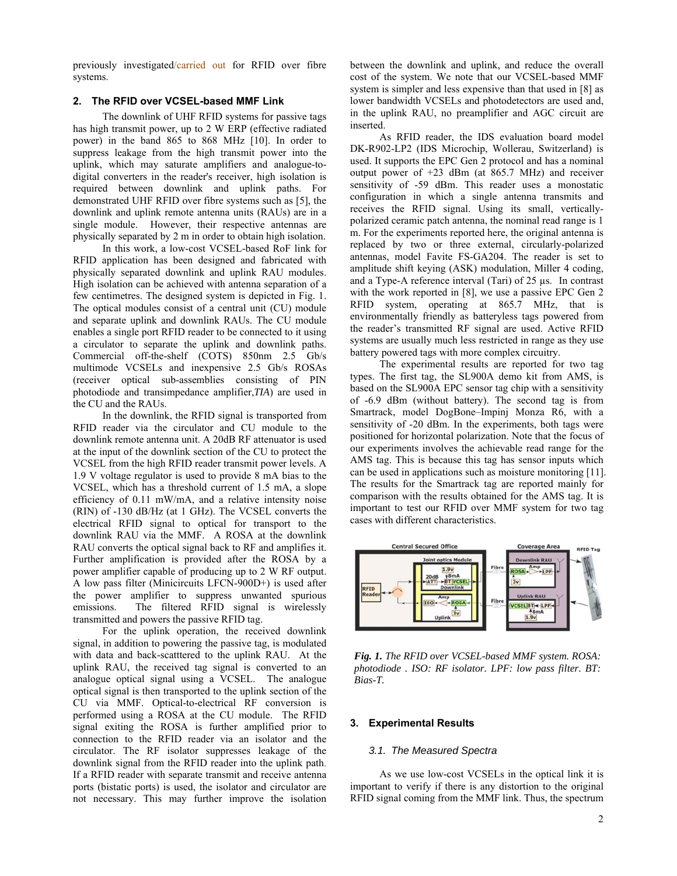previously investigated/carried out for RFID over fibre systems.

#### **2. The RFID over VCSEL-based MMF Link**

The downlink of UHF RFID systems for passive tags has high transmit power, up to 2 W ERP (effective radiated power) in the band 865 to 868 MHz [10]. In order to suppress leakage from the high transmit power into the uplink, which may saturate amplifiers and analogue-todigital converters in the reader's receiver, high isolation is required between downlink and uplink paths. For demonstrated UHF RFID over fibre systems such as [5], the downlink and uplink remote antenna units (RAUs) are in a single module. However, their respective antennas are physically separated by 2 m in order to obtain high isolation.

In this work, a low-cost VCSEL-based RoF link for RFID application has been designed and fabricated with physically separated downlink and uplink RAU modules. High isolation can be achieved with antenna separation of a few centimetres. The designed system is depicted in Fig. 1. The optical modules consist of a central unit (CU) module and separate uplink and downlink RAUs. The CU module enables a single port RFID reader to be connected to it using a circulator to separate the uplink and downlink paths. Commercial off-the-shelf (COTS) 850nm 2.5 Gb/s multimode VCSELs and inexpensive 2.5 Gb/s ROSAs (receiver optical sub-assemblies consisting of PIN photodiode and transimpedance amplifier,*TIA*) are used in the CU and the RAUs.

In the downlink, the RFID signal is transported from RFID reader via the circulator and CU module to the downlink remote antenna unit. A 20dB RF attenuator is used at the input of the downlink section of the CU to protect the VCSEL from the high RFID reader transmit power levels. A 1.9 V voltage regulator is used to provide 8 mA bias to the VCSEL, which has a threshold current of 1.5 mA, a slope efficiency of 0.11 mW/mA, and a relative intensity noise (RIN) of -130 dB/Hz (at 1 GHz). The VCSEL converts the electrical RFID signal to optical for transport to the downlink RAU via the MMF. A ROSA at the downlink RAU converts the optical signal back to RF and amplifies it. Further amplification is provided after the ROSA by a power amplifier capable of producing up to 2 W RF output. A low pass filter (Minicircuits LFCN-900D+) is used after the power amplifier to suppress unwanted spurious emissions. The filtered RFID signal is wirelessly transmitted and powers the passive RFID tag.

For the uplink operation, the received downlink signal, in addition to powering the passive tag, is modulated with data and back-scatttered to the uplink RAU. At the uplink RAU, the received tag signal is converted to an analogue optical signal using a VCSEL. The analogue optical signal is then transported to the uplink section of the CU via MMF. Optical-to-electrical RF conversion is performed using a ROSA at the CU module. The RFID signal exiting the ROSA is further amplified prior to connection to the RFID reader via an isolator and the circulator. The RF isolator suppresses leakage of the downlink signal from the RFID reader into the uplink path. If a RFID reader with separate transmit and receive antenna ports (bistatic ports) is used, the isolator and circulator are not necessary. This may further improve the isolation between the downlink and uplink, and reduce the overall cost of the system. We note that our VCSEL-based MMF system is simpler and less expensive than that used in [8] as lower bandwidth VCSELs and photodetectors are used and, in the uplink RAU, no preamplifier and AGC circuit are inserted.

As RFID reader, the IDS evaluation board model DK-R902-LP2 (IDS Microchip, Wollerau, Switzerland) is used. It supports the EPC Gen 2 protocol and has a nominal output power of +23 dBm (at 865.7 MHz) and receiver sensitivity of -59 dBm. This reader uses a monostatic configuration in which a single antenna transmits and receives the RFID signal. Using its small, verticallypolarized ceramic patch antenna, the nominal read range is 1 m. For the experiments reported here, the original antenna is replaced by two or three external, circularly-polarized antennas, model Favite FS-GA204. The reader is set to amplitude shift keying (ASK) modulation, Miller 4 coding, and a Type-A reference interval (Tari) of 25 µs. In contrast with the work reported in [8], we use a passive EPC Gen 2 RFID system, operating at 865.7 MHz, that is environmentally friendly as batteryless tags powered from the reader's transmitted RF signal are used. Active RFID systems are usually much less restricted in range as they use battery powered tags with more complex circuitry.

The experimental results are reported for two tag types. The first tag, the SL900A demo kit from AMS, is based on the SL900A EPC sensor tag chip with a sensitivity of -6.9 dBm (without battery). The second tag is from Smartrack, model DogBone–Impinj Monza R6, with a sensitivity of -20 dBm. In the experiments, both tags were positioned for horizontal polarization. Note that the focus of our experiments involves the achievable read range for the AMS tag. This is because this tag has sensor inputs which can be used in applications such as moisture monitoring [11]. The results for the Smartrack tag are reported mainly for comparison with the results obtained for the AMS tag. It is important to test our RFID over MMF system for two tag cases with different characteristics.



*Fig. 1. The RFID over VCSEL-based MMF system. ROSA: photodiode . ISO: RF isolator. LPF: low pass filter. BT: Bias-T.* 

#### **3. Experimental Results**

#### *3.1. The Measured Spectra*

As we use low-cost VCSELs in the optical link it is important to verify if there is any distortion to the original RFID signal coming from the MMF link. Thus, the spectrum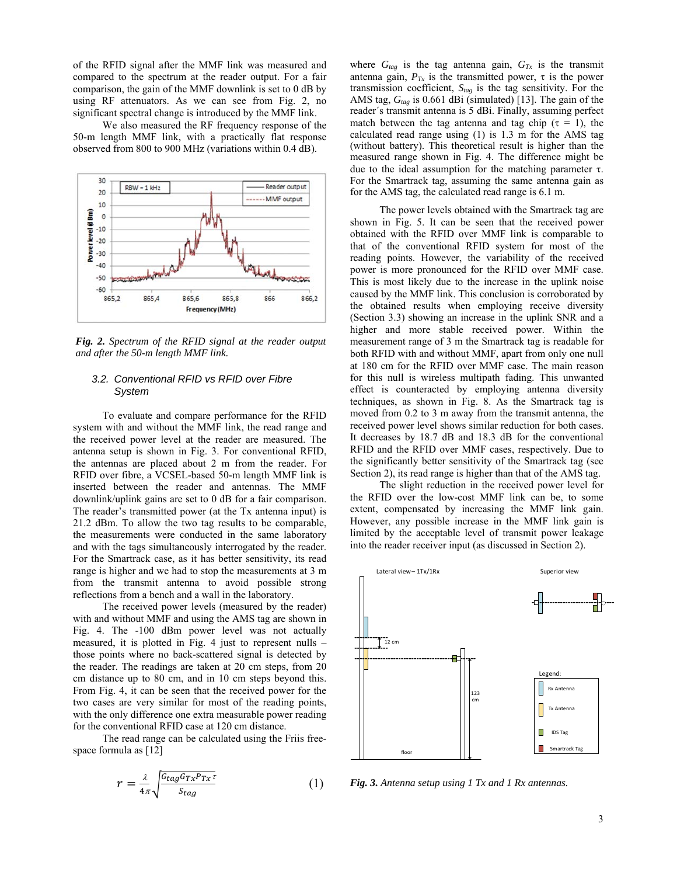of the RFID signal after the MMF link was measured and compared to the spectrum at the reader output. For a fair comparison, the gain of the MMF downlink is set to 0 dB by using RF attenuators. As we can see from Fig. 2, no significant spectral change is introduced by the MMF link.

We also measured the RF frequency response of the 50-m length MMF link, with a practically flat response observed from 800 to 900 MHz (variations within 0.4 dB).



*Fig. 2. Spectrum of the RFID signal at the reader output and after the 50-m length MMF link.* 

#### *3.2. Conventional RFID vs RFID over Fibre System*

To evaluate and compare performance for the RFID system with and without the MMF link, the read range and the received power level at the reader are measured. The antenna setup is shown in Fig. 3. For conventional RFID, the antennas are placed about 2 m from the reader. For RFID over fibre, a VCSEL-based 50-m length MMF link is inserted between the reader and antennas. The MMF downlink/uplink gains are set to 0 dB for a fair comparison. The reader's transmitted power (at the Tx antenna input) is 21.2 dBm. To allow the two tag results to be comparable, the measurements were conducted in the same laboratory and with the tags simultaneously interrogated by the reader. For the Smartrack case, as it has better sensitivity, its read range is higher and we had to stop the measurements at 3 m from the transmit antenna to avoid possible strong reflections from a bench and a wall in the laboratory.

The received power levels (measured by the reader) with and without MMF and using the AMS tag are shown in Fig. 4. The -100 dBm power level was not actually measured, it is plotted in Fig. 4 just to represent nulls – those points where no back-scattered signal is detected by the reader. The readings are taken at 20 cm steps, from 20 cm distance up to 80 cm, and in 10 cm steps beyond this. From Fig. 4, it can be seen that the received power for the two cases are very similar for most of the reading points, with the only difference one extra measurable power reading for the conventional RFID case at 120 cm distance.

The read range can be calculated using the Friis freespace formula as [12]

$$
r = \frac{\lambda}{4\pi} \sqrt{\frac{G_{tag}G_{Tx}P_{Tx}\tau}{S_{tag}}}
$$
 (1)

where  $G_{tag}$  is the tag antenna gain,  $G_{Tx}$  is the transmit antenna gain,  $P_{Tx}$  is the transmitted power,  $\tau$  is the power transmission coefficient, *Stag* is the tag sensitivity. For the AMS tag,  $G_{tag}$  is 0.661 dBi (simulated) [13]. The gain of the reader´s transmit antenna is 5 dBi. Finally, assuming perfect match between the tag antenna and tag chip ( $\tau = 1$ ), the calculated read range using (1) is 1.3 m for the AMS tag (without battery). This theoretical result is higher than the measured range shown in Fig. 4. The difference might be due to the ideal assumption for the matching parameter  $\tau$ . For the Smartrack tag, assuming the same antenna gain as for the AMS tag, the calculated read range is 6.1 m.

The power levels obtained with the Smartrack tag are shown in Fig. 5. It can be seen that the received power obtained with the RFID over MMF link is comparable to that of the conventional RFID system for most of the reading points. However, the variability of the received power is more pronounced for the RFID over MMF case. This is most likely due to the increase in the uplink noise caused by the MMF link. This conclusion is corroborated by the obtained results when employing receive diversity (Section 3.3) showing an increase in the uplink SNR and a higher and more stable received power. Within the measurement range of 3 m the Smartrack tag is readable for both RFID with and without MMF, apart from only one null at 180 cm for the RFID over MMF case. The main reason for this null is wireless multipath fading. This unwanted effect is counteracted by employing antenna diversity techniques, as shown in Fig. 8. As the Smartrack tag is moved from 0.2 to 3 m away from the transmit antenna, the received power level shows similar reduction for both cases. It decreases by 18.7 dB and 18.3 dB for the conventional RFID and the RFID over MMF cases, respectively. Due to the significantly better sensitivity of the Smartrack tag (see Section 2), its read range is higher than that of the AMS tag.

The slight reduction in the received power level for the RFID over the low-cost MMF link can be, to some extent, compensated by increasing the MMF link gain. However, any possible increase in the MMF link gain is limited by the acceptable level of transmit power leakage into the reader receiver input (as discussed in Section 2).



*Fig. 3. Antenna setup using 1 Tx and 1 Rx antennas.*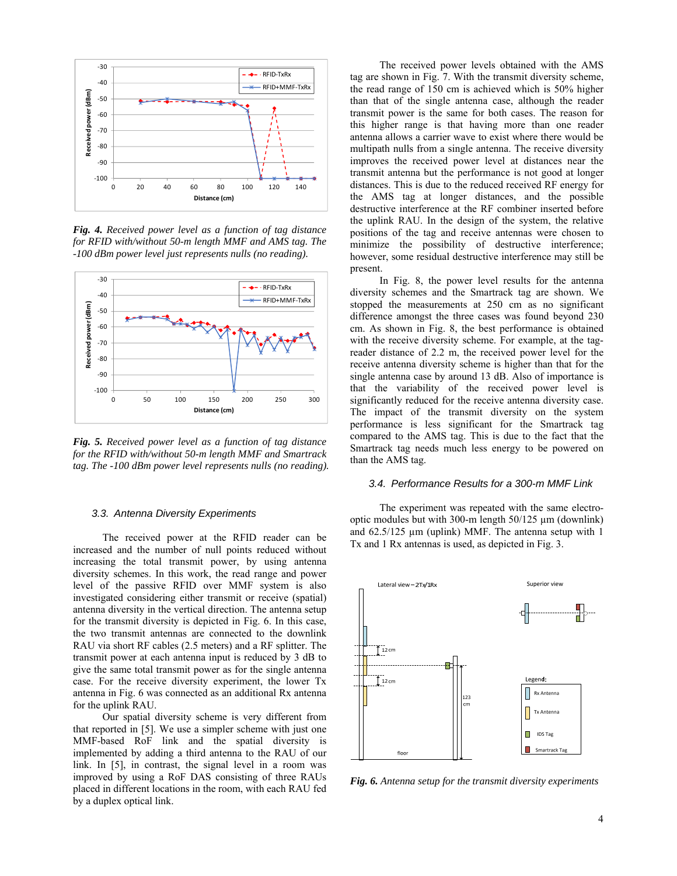

*Fig. 4. Received power level as a function of tag distance for RFID with/without 50-m length MMF and AMS tag. The -100 dBm power level just represents nulls (no reading).* 



*Fig. 5. Received power level as a function of tag distance for the RFID with/without 50-m length MMF and Smartrack tag. The -100 dBm power level represents nulls (no reading).* 

#### *3.3. Antenna Diversity Experiments*

The received power at the RFID reader can be increased and the number of null points reduced without increasing the total transmit power, by using antenna diversity schemes. In this work, the read range and power level of the passive RFID over MMF system is also investigated considering either transmit or receive (spatial) antenna diversity in the vertical direction. The antenna setup for the transmit diversity is depicted in Fig. 6. In this case, the two transmit antennas are connected to the downlink RAU via short RF cables (2.5 meters) and a RF splitter. The transmit power at each antenna input is reduced by 3 dB to give the same total transmit power as for the single antenna case. For the receive diversity experiment, the lower Tx antenna in Fig. 6 was connected as an additional Rx antenna for the uplink RAU.

Our spatial diversity scheme is very different from that reported in [5]. We use a simpler scheme with just one MMF-based RoF link and the spatial diversity is implemented by adding a third antenna to the RAU of our link. In [5], in contrast, the signal level in a room was improved by using a RoF DAS consisting of three RAUs placed in different locations in the room, with each RAU fed by a duplex optical link.

The received power levels obtained with the AMS tag are shown in Fig. 7. With the transmit diversity scheme, the read range of 150 cm is achieved which is 50% higher than that of the single antenna case, although the reader transmit power is the same for both cases. The reason for this higher range is that having more than one reader antenna allows a carrier wave to exist where there would be multipath nulls from a single antenna. The receive diversity improves the received power level at distances near the transmit antenna but the performance is not good at longer distances. This is due to the reduced received RF energy for the AMS tag at longer distances, and the possible destructive interference at the RF combiner inserted before the uplink RAU. In the design of the system, the relative positions of the tag and receive antennas were chosen to minimize the possibility of destructive interference; however, some residual destructive interference may still be present.

In Fig. 8, the power level results for the antenna diversity schemes and the Smartrack tag are shown. We stopped the measurements at 250 cm as no significant difference amongst the three cases was found beyond 230 cm. As shown in Fig. 8, the best performance is obtained with the receive diversity scheme. For example, at the tagreader distance of 2.2 m, the received power level for the receive antenna diversity scheme is higher than that for the single antenna case by around 13 dB. Also of importance is that the variability of the received power level is significantly reduced for the receive antenna diversity case. The impact of the transmit diversity on the system performance is less significant for the Smartrack tag compared to the AMS tag. This is due to the fact that the Smartrack tag needs much less energy to be powered on than the AMS tag.

#### *3.4. Performance Results for a 300-m MMF Link*

The experiment was repeated with the same electrooptic modules but with 300-m length 50/125 µm (downlink) and 62.5/125 µm (uplink) MMF. The antenna setup with 1 Tx and 1 Rx antennas is used, as depicted in Fig. 3.



*Fig. 6. Antenna setup for the transmit diversity experiments*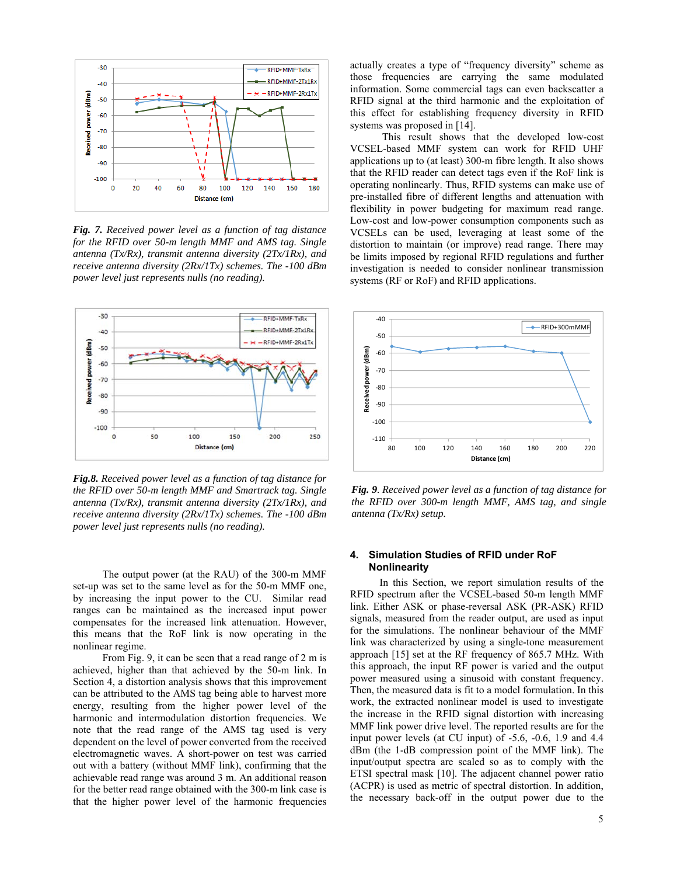

*Fig. 7. Received power level as a function of tag distance for the RFID over 50-m length MMF and AMS tag. Single antenna (Tx/Rx), transmit antenna diversity (2Tx/1Rx), and receive antenna diversity (2Rx/1Tx) schemes. The -100 dBm power level just represents nulls (no reading).* 



*Fig.8. Received power level as a function of tag distance for the RFID over 50-m length MMF and Smartrack tag. Single antenna (Tx/Rx), transmit antenna diversity (2Tx/1Rx), and receive antenna diversity (2Rx/1Tx) schemes. The -100 dBm power level just represents nulls (no reading).* 

The output power (at the RAU) of the 300-m MMF set-up was set to the same level as for the 50-m MMF one, by increasing the input power to the CU. Similar read ranges can be maintained as the increased input power compensates for the increased link attenuation. However, this means that the RoF link is now operating in the nonlinear regime.

From Fig. 9, it can be seen that a read range of 2 m is achieved, higher than that achieved by the 50-m link. In Section 4, a distortion analysis shows that this improvement can be attributed to the AMS tag being able to harvest more energy, resulting from the higher power level of the harmonic and intermodulation distortion frequencies. We note that the read range of the AMS tag used is very dependent on the level of power converted from the received electromagnetic waves. A short-power on test was carried out with a battery (without MMF link), confirming that the achievable read range was around 3 m. An additional reason for the better read range obtained with the 300-m link case is that the higher power level of the harmonic frequencies

actually creates a type of "frequency diversity" scheme as those frequencies are carrying the same modulated information. Some commercial tags can even backscatter a RFID signal at the third harmonic and the exploitation of this effect for establishing frequency diversity in RFID systems was proposed in [14].

 This result shows that the developed low-cost VCSEL-based MMF system can work for RFID UHF applications up to (at least) 300-m fibre length. It also shows that the RFID reader can detect tags even if the RoF link is operating nonlinearly. Thus, RFID systems can make use of pre-installed fibre of different lengths and attenuation with flexibility in power budgeting for maximum read range. Low-cost and low-power consumption components such as VCSELs can be used, leveraging at least some of the distortion to maintain (or improve) read range. There may be limits imposed by regional RFID regulations and further investigation is needed to consider nonlinear transmission systems (RF or RoF) and RFID applications.



*Fig. 9. Received power level as a function of tag distance for the RFID over 300-m length MMF, AMS tag, and single antenna (Tx/Rx) setup.* 

#### **4. Simulation Studies of RFID under RoF Nonlinearity**

In this Section, we report simulation results of the RFID spectrum after the VCSEL-based 50-m length MMF link. Either ASK or phase-reversal ASK (PR-ASK) RFID signals, measured from the reader output, are used as input for the simulations. The nonlinear behaviour of the MMF link was characterized by using a single-tone measurement approach [15] set at the RF frequency of 865.7 MHz. With this approach, the input RF power is varied and the output power measured using a sinusoid with constant frequency. Then, the measured data is fit to a model formulation. In this work, the extracted nonlinear model is used to investigate the increase in the RFID signal distortion with increasing MMF link power drive level. The reported results are for the input power levels (at CU input) of -5.6, -0.6, 1.9 and 4.4 dBm (the 1-dB compression point of the MMF link). The input/output spectra are scaled so as to comply with the ETSI spectral mask [10]. The adjacent channel power ratio (ACPR) is used as metric of spectral distortion. In addition, the necessary back-off in the output power due to the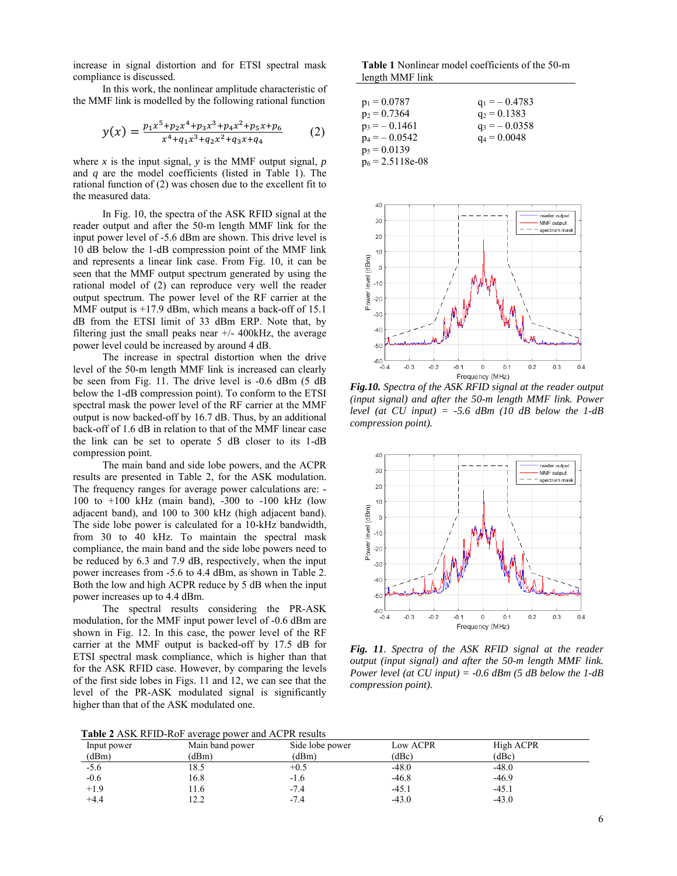increase in signal distortion and for ETSI spectral mask compliance is discussed.

In this work, the nonlinear amplitude characteristic of the MMF link is modelled by the following rational function

$$
y(x) = \frac{p_1 x^5 + p_2 x^4 + p_3 x^3 + p_4 x^2 + p_5 x + p_6}{x^4 + q_1 x^3 + q_2 x^2 + q_3 x + q_4}
$$
 (2)

where  $x$  is the input signal,  $y$  is the MMF output signal,  $p$ and *q* are the model coefficients (listed in Table 1). The rational function of (2) was chosen due to the excellent fit to the measured data.

In Fig. 10, the spectra of the ASK RFID signal at the reader output and after the 50-m length MMF link for the input power level of -5.6 dBm are shown. This drive level is 10 dB below the 1-dB compression point of the MMF link and represents a linear link case. From Fig. 10, it can be seen that the MMF output spectrum generated by using the rational model of (2) can reproduce very well the reader output spectrum. The power level of the RF carrier at the MMF output is +17.9 dBm, which means a back-off of 15.1 dB from the ETSI limit of 33 dBm ERP. Note that, by filtering just the small peaks near  $+/- 400kHz$ , the average power level could be increased by around 4 dB.

The increase in spectral distortion when the drive level of the 50-m length MMF link is increased can clearly be seen from Fig. 11. The drive level is -0.6 dBm (5 dB below the 1-dB compression point). To conform to the ETSI spectral mask the power level of the RF carrier at the MMF output is now backed-off by 16.7 dB. Thus, by an additional back-off of 1.6 dB in relation to that of the MMF linear case the link can be set to operate 5 dB closer to its 1-dB compression point.

The main band and side lobe powers, and the ACPR results are presented in Table 2, for the ASK modulation. The frequency ranges for average power calculations are: - 100 to +100 kHz (main band), -300 to -100 kHz (low adjacent band), and 100 to 300 kHz (high adjacent band). The side lobe power is calculated for a 10-kHz bandwidth, from 30 to 40 kHz. To maintain the spectral mask compliance, the main band and the side lobe powers need to be reduced by 6.3 and 7.9 dB, respectively, when the input power increases from -5.6 to 4.4 dBm, as shown in Table 2. Both the low and high ACPR reduce by 5 dB when the input power increases up to 4.4 dBm.

The spectral results considering the PR-ASK modulation, for the MMF input power level of -0.6 dBm are shown in Fig. 12. In this case, the power level of the RF carrier at the MMF output is backed-off by 17.5 dB for ETSI spectral mask compliance, which is higher than that for the ASK RFID case. However, by comparing the levels of the first side lobes in Figs. 11 and 12, we can see that the level of the PR-ASK modulated signal is significantly higher than that of the ASK modulated one.

**Table 1** Nonlinear model coefficients of the 50-m length MMF link

| $p_1 = 0.0787$     | $q_1 = -0.4783$ |
|--------------------|-----------------|
| $p_2 = 0.7364$     | $q_2 = 0.1383$  |
| $p_3 = -0.1461$    | $q_3 = -0.0358$ |
| $p_4 = -0.0542$    | $q_4 = 0.0048$  |
| $p_5 = 0.0139$     |                 |
| $p_6 = 2.5118e-08$ |                 |



*Fig.10. Spectra of the ASK RFID signal at the reader output (input signal) and after the 50-m length MMF link. Power level (at CU input) = -5.6 dBm (10 dB below the 1-dB compression point).* 



*Fig. 11. Spectra of the ASK RFID signal at the reader output (input signal) and after the 50-m length MMF link. Power level (at CU input) = -0.6 dBm (5 dB below the 1-dB compression point).* 

**Table 2** ASK RFID-RoF average power and ACPR results

| Input power | Main band power | Side lobe power | Low ACPR | High ACPR |
|-------------|-----------------|-----------------|----------|-----------|
| (dBm)       | (dBm)           | (dBm)           | (dBc)    | (dBc)     |
| $-5.6$      | 18.5            | $+0.5$          | $-48.0$  | $-48.0$   |
| $-0.6$      | 16.8            | -1.6            | $-46.8$  | $-46.9$   |
| $+1.9$      | 1.6             | -7.4            | $-45.1$  | $-45.1$   |
| $+4.4$      | 12.2            | $-7.4$          | $-43.0$  | $-43.0$   |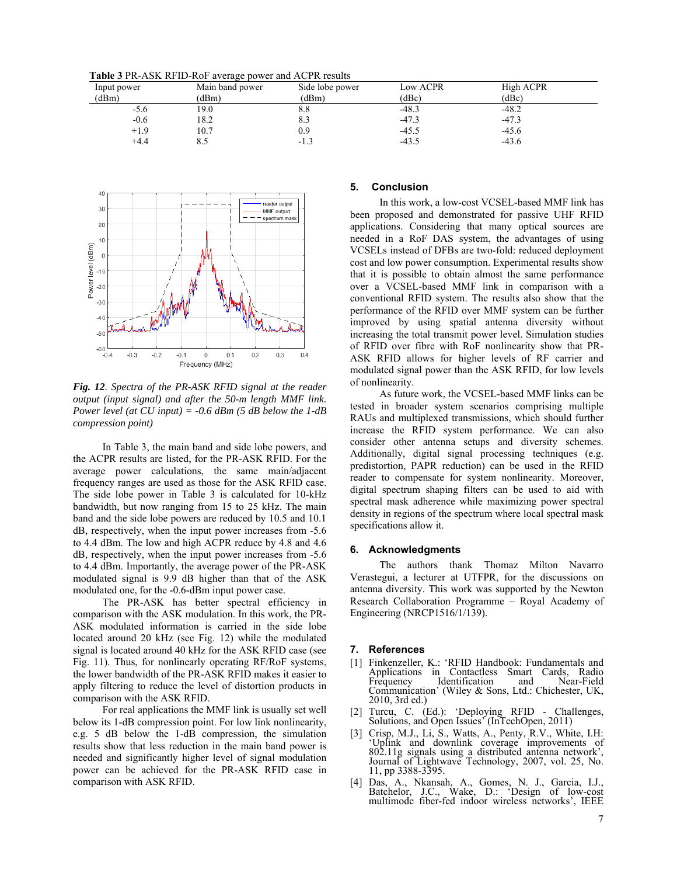**Table 3** PR-ASK RFID-RoF average power and ACPR results

| Input power | Main band power | Side lobe power | Low ACPR | High ACPR |  |
|-------------|-----------------|-----------------|----------|-----------|--|
| (dBm)       | (dBm)           | (dBm)           | (dBc)    | (dBc)     |  |
| -5.6        | 19.0            | o.o             | $-48.3$  | $-48.2$   |  |
| $-0.6$      | 18.2            | 8.3             | $-47.3$  | $-47.3$   |  |
| $+1.9$      | 10.7            | 0.9             | $-45.5$  | $-45.6$   |  |
| $+4.4$      | 8.5             | $-1.3$          | $-43.5$  | $-43.6$   |  |



*Fig. 12. Spectra of the PR-ASK RFID signal at the reader output (input signal) and after the 50-m length MMF link. Power level (at CU input) = -0.6 dBm (5 dB below the 1-dB compression point)* 

In Table 3, the main band and side lobe powers, and the ACPR results are listed, for the PR-ASK RFID. For the average power calculations, the same main/adjacent frequency ranges are used as those for the ASK RFID case. The side lobe power in Table 3 is calculated for 10-kHz bandwidth, but now ranging from 15 to 25 kHz. The main band and the side lobe powers are reduced by 10.5 and 10.1 dB, respectively, when the input power increases from -5.6 to 4.4 dBm. The low and high ACPR reduce by 4.8 and 4.6 dB, respectively, when the input power increases from -5.6 to 4.4 dBm. Importantly, the average power of the PR-ASK modulated signal is 9.9 dB higher than that of the ASK modulated one, for the -0.6-dBm input power case.

The PR-ASK has better spectral efficiency in comparison with the ASK modulation. In this work, the PR-ASK modulated information is carried in the side lobe located around 20 kHz (see Fig. 12) while the modulated signal is located around 40 kHz for the ASK RFID case (see Fig. 11). Thus, for nonlinearly operating RF/RoF systems, the lower bandwidth of the PR-ASK RFID makes it easier to apply filtering to reduce the level of distortion products in comparison with the ASK RFID.

For real applications the MMF link is usually set well below its 1-dB compression point. For low link nonlinearity, e.g. 5 dB below the 1-dB compression, the simulation results show that less reduction in the main band power is needed and significantly higher level of signal modulation power can be achieved for the PR-ASK RFID case in comparison with ASK RFID.

#### **5. Conclusion**

In this work, a low-cost VCSEL-based MMF link has been proposed and demonstrated for passive UHF RFID applications. Considering that many optical sources are needed in a RoF DAS system, the advantages of using VCSELs instead of DFBs are two-fold: reduced deployment cost and low power consumption. Experimental results show that it is possible to obtain almost the same performance over a VCSEL-based MMF link in comparison with a conventional RFID system. The results also show that the performance of the RFID over MMF system can be further improved by using spatial antenna diversity without increasing the total transmit power level. Simulation studies of RFID over fibre with RoF nonlinearity show that PR-ASK RFID allows for higher levels of RF carrier and modulated signal power than the ASK RFID, for low levels of nonlinearity.

As future work, the VCSEL-based MMF links can be tested in broader system scenarios comprising multiple RAUs and multiplexed transmissions, which should further increase the RFID system performance. We can also consider other antenna setups and diversity schemes. Additionally, digital signal processing techniques (e.g. predistortion, PAPR reduction) can be used in the RFID reader to compensate for system nonlinearity. Moreover, digital spectrum shaping filters can be used to aid with spectral mask adherence while maximizing power spectral density in regions of the spectrum where local spectral mask specifications allow it.

#### **6. Acknowledgments**

The authors thank Thomaz Milton Navarro Verastegui, a lecturer at UTFPR, for the discussions on antenna diversity. This work was supported by the Newton Research Collaboration Programme – Royal Academy of Engineering (NRCP1516/1/139).

#### **7. References**

- [1] Finkenzeller, K.: 'RFID Handbook: Fundamentals and Applications in Contactless Smart Cards, Radio<br>Frequency Identification and Near-Field Identification Communication' (Wiley & Sons, Ltd.: Chichester, UK, 2010, 3rd ed.)
- [2] Turcu, C. (Ed.): 'Deploying RFID Challenges, Solutions, and Open Issues' (InTechOpen, 2011)
- [3] Crisp, M.J., Li, S., Watts, A., Penty, R.V., White, I.H: 'Uplink and downlink coverage improvements of 802.11g signals using a distributed antenna network', Journal of Lightwave Technology, 2007, vol. 25, No. 11, pp 3388-3395.
- [4] Das, A., Nkansah, A., Gomes, N. J., Garcia, I.J., Batchelor, J.C., Wake, D.: 'Design of low-cost multimode fiber-fed indoor wireless networks', IEEE